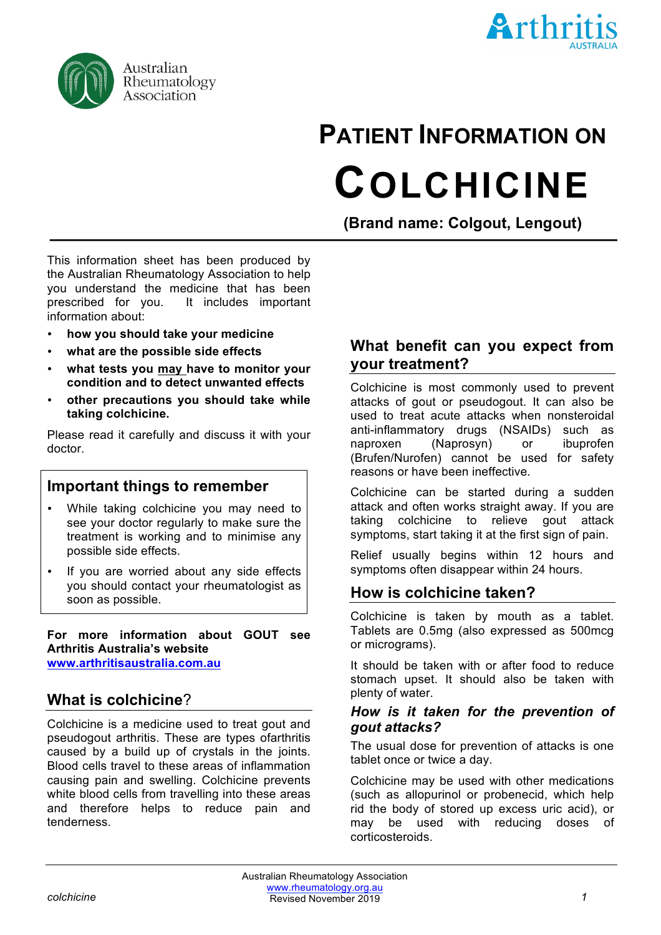



# **PATIENT INFORMATION ON COLCHICINE**

**(Brand name: Colgout, Lengout)**

This information sheet has been produced by the Australian Rheumatology Association to help you understand the medicine that has been prescribed for you. It includes important information about:

- **how you should take your medicine**
- **what are the possible side effects**
- **what tests you may have to monitor your condition and to detect unwanted effects**
- **other precautions you should take while taking colchicine.**

Please read it carefully and discuss it with your doctor.

#### **Important things to remember**

- While taking colchicine you may need to see your doctor regularly to make sure the treatment is working and to minimise any possible side effects.
- If you are worried about any side effects you should contact your rheumatologist as soon as possible.

**For more information about GOUT see Arthritis Australia's website www.arthritisaustralia.com.au**

## **What is colchicine**?

Colchicine is a medicine used to treat gout and pseudogout arthritis. These are types ofarthritis caused by a build up of crystals in the joints. Blood cells travel to these areas of inflammation causing pain and swelling. Colchicine prevents white blood cells from travelling into these areas and therefore helps to reduce pain and tenderness.

## **What benefit can you expect from your treatment?**

Colchicine is most commonly used to prevent attacks of gout or pseudogout. It can also be used to treat acute attacks when nonsteroidal anti-inflammatory drugs (NSAIDs) such as naproxen (Naprosyn) or ibuprofen (Brufen/Nurofen) cannot be used for safety reasons or have been ineffective.

Colchicine can be started during a sudden attack and often works straight away. If you are taking colchicine to relieve gout attack symptoms, start taking it at the first sign of pain.

Relief usually begins within 12 hours and symptoms often disappear within 24 hours.

## **How is colchicine taken?**

Colchicine is taken by mouth as a tablet. Tablets are 0.5mg (also expressed as 500mcg or micrograms).

It should be taken with or after food to reduce stomach upset. It should also be taken with plenty of water.

#### *How is it taken for the prevention of gout attacks?*

The usual dose for prevention of attacks is one tablet once or twice a day.

Colchicine may be used with other medications (such as allopurinol or probenecid, which help rid the body of stored up excess uric acid), or may be used with reducing doses of corticosteroids.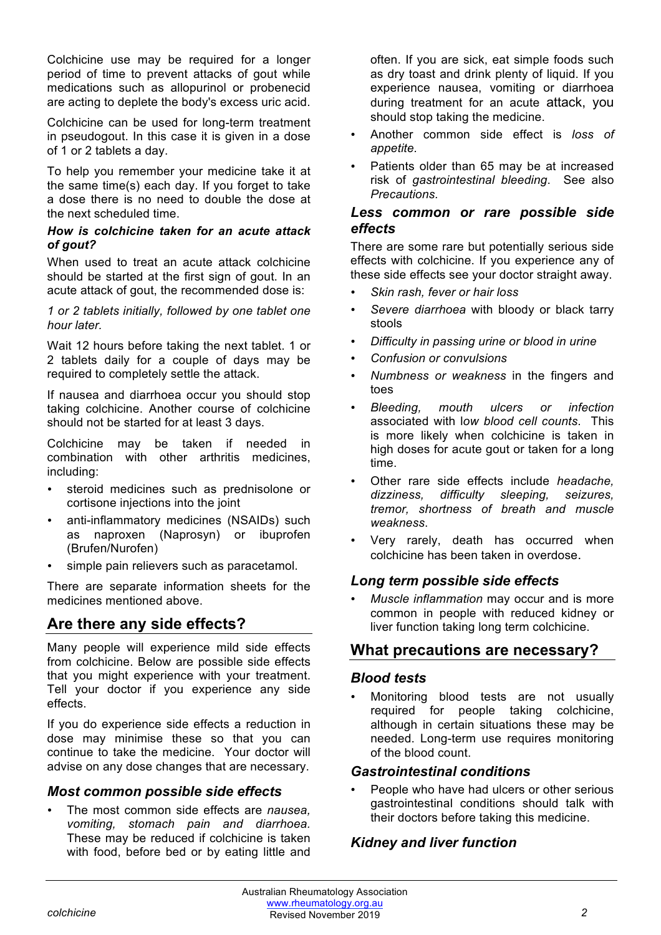Colchicine use may be required for a longer period of time to prevent attacks of gout while medications such as allopurinol or probenecid are acting to deplete the body's excess uric acid.

Colchicine can be used for long-term treatment in pseudogout. In this case it is given in a dose of 1 or 2 tablets a day.

To help you remember your medicine take it at the same time(s) each day. If you forget to take a dose there is no need to double the dose at the next scheduled time.

#### *How is colchicine taken for an acute attack of gout?*

When used to treat an acute attack colchicine should be started at the first sign of gout. In an acute attack of gout, the recommended dose is:

*1 or 2 tablets initially, followed by one tablet one hour later.* 

Wait 12 hours before taking the next tablet. 1 or 2 tablets daily for a couple of days may be required to completely settle the attack.

If nausea and diarrhoea occur you should stop taking colchicine. Another course of colchicine should not be started for at least 3 days.

Colchicine may be taken if needed in combination with other arthritis medicines, including:

- steroid medicines such as prednisolone or cortisone injections into the joint
- anti-inflammatory medicines (NSAIDs) such as naproxen (Naprosyn) or ibuprofen (Brufen/Nurofen)
- simple pain relievers such as paracetamol.

There are separate information sheets for the medicines mentioned above.

# **Are there any side effects?**

Many people will experience mild side effects from colchicine. Below are possible side effects that you might experience with your treatment. Tell your doctor if you experience any side effects.

If you do experience side effects a reduction in dose may minimise these so that you can continue to take the medicine. Your doctor will advise on any dose changes that are necessary.

#### *Most common possible side effects*

• The most common side effects are *nausea, vomiting, stomach pain and diarrhoea.* These may be reduced if colchicine is taken with food, before bed or by eating little and often. If you are sick, eat simple foods such as dry toast and drink plenty of liquid. If you experience nausea, vomiting or diarrhoea during treatment for an acute attack, you should stop taking the medicine.

- Another common side effect is *loss of appetite.*
- Patients older than 65 may be at increased risk of *gastrointestinal bleeding*. See also *Precautions.*

#### *Less common or rare possible side effects*

There are some rare but potentially serious side effects with colchicine. If you experience any of these side effects see your doctor straight away.

- *Skin rash, fever or hair loss*
- *Severe diarrhoea* with bloody or black tarry stools
- *Difficulty in passing urine or blood in urine*
- *Confusion or convulsions*
- *Numbness or weakness* in the fingers and toes
- *Bleeding, mouth ulcers or infection*  associated with l*ow blood cell counts*. This is more likely when colchicine is taken in high doses for acute gout or taken for a long time.
- Other rare side effects include *headache, dizziness, difficulty sleeping, seizures, tremor, shortness of breath and muscle weakness*.
- Very rarely, death has occurred when colchicine has been taken in overdose.

#### *Long term possible side effects*

• *Muscle inflammation* may occur and is more common in people with reduced kidney or liver function taking long term colchicine.

## **What precautions are necessary?**

#### *Blood tests*

• Monitoring blood tests are not usually required for people taking colchicine, although in certain situations these may be needed. Long-term use requires monitoring of the blood count.

#### *Gastrointestinal conditions*

People who have had ulcers or other serious gastrointestinal conditions should talk with their doctors before taking this medicine.

#### *Kidney and liver function*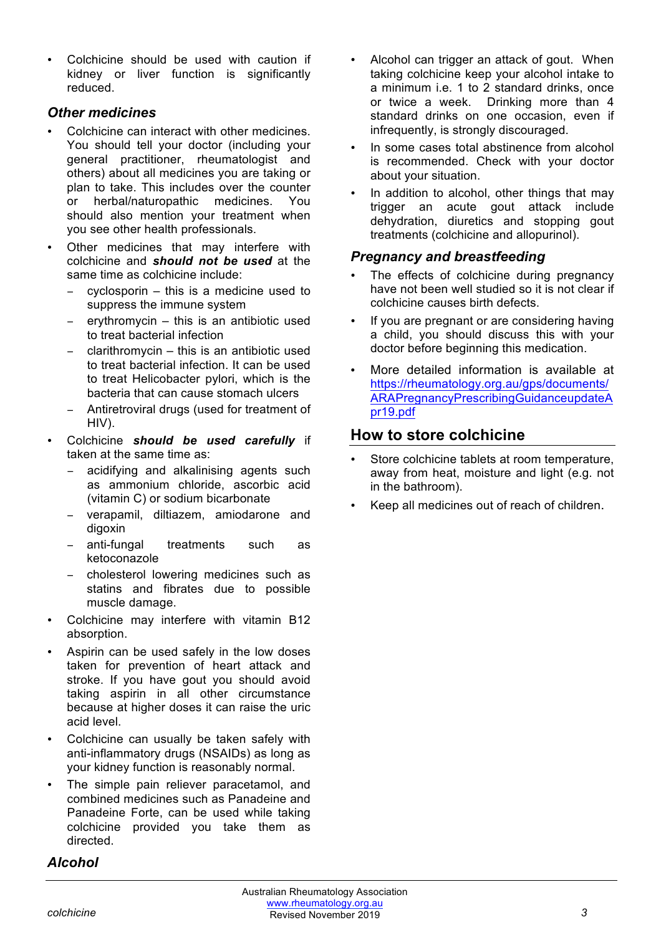• Colchicine should be used with caution if kidney or liver function is significantly reduced.

#### *Other medicines*

- Colchicine can interact with other medicines. You should tell your doctor (including your general practitioner, rheumatologist and others) about all medicines you are taking or plan to take. This includes over the counter or herbal/naturopathic medicines. You should also mention your treatment when you see other health professionals.
- Other medicines that may interfere with colchicine and *should not be used* at the same time as colchicine include:
	- $c$  cyclosporin this is a medicine used to suppress the immune system
	- − erythromycin this is an antibiotic used to treat bacterial infection
	- − clarithromycin this is an antibiotic used to treat bacterial infection. It can be used to treat Helicobacter pylori, which is the bacteria that can cause stomach ulcers
	- − Antiretroviral drugs (used for treatment of HIV).
- Colchicine *should be used carefully* if taken at the same time as:
	- − acidifying and alkalinising agents such as ammonium chloride, ascorbic acid (vitamin C) or sodium bicarbonate
	- − verapamil, diltiazem, amiodarone and digoxin
	- − anti-fungal treatments such as ketoconazole
	- − cholesterol lowering medicines such as statins and fibrates due to possible muscle damage.
- Colchicine may interfere with vitamin B12 absorption.
- Aspirin can be used safely in the low doses taken for prevention of heart attack and stroke. If you have gout you should avoid taking aspirin in all other circumstance because at higher doses it can raise the uric acid level.
- Colchicine can usually be taken safely with anti-inflammatory drugs (NSAIDs) as long as your kidney function is reasonably normal.
- The simple pain reliever paracetamol, and combined medicines such as Panadeine and Panadeine Forte, can be used while taking colchicine provided you take them as directed.

#### *Alcohol*

- Alcohol can trigger an attack of gout. When taking colchicine keep your alcohol intake to a minimum i.e. 1 to 2 standard drinks, once or twice a week. Drinking more than 4 standard drinks on one occasion, even if infrequently, is strongly discouraged.
- In some cases total abstinence from alcohol is recommended. Check with your doctor about your situation.
- In addition to alcohol, other things that may trigger an acute gout attack include dehydration, diuretics and stopping gout treatments (colchicine and allopurinol).

#### *Pregnancy and breastfeeding*

- The effects of colchicine during pregnancy have not been well studied so it is not clear if colchicine causes birth defects.
- If you are pregnant or are considering having a child, you should discuss this with your doctor before beginning this medication.
- More detailed information is available at https://rheumatology.org.au/gps/documents/ ARAPregnancyPrescribingGuidanceupdateA pr19.pdf

## **How to store colchicine**

- Store colchicine tablets at room temperature, away from heat, moisture and light (e.g. not in the bathroom).
- Keep all medicines out of reach of children.